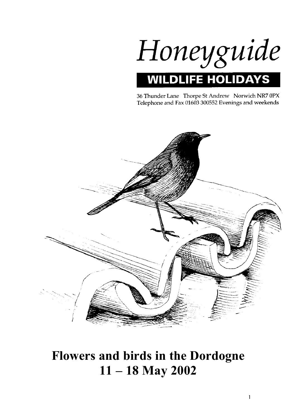

36 Thunder Lane Thorpe St Andrew Norwich NR7 0PX Telephone and Fax 01603 300552 Evenings and weekends



# **Flowers and birds in the Dordogne 11 – 18 May 2002**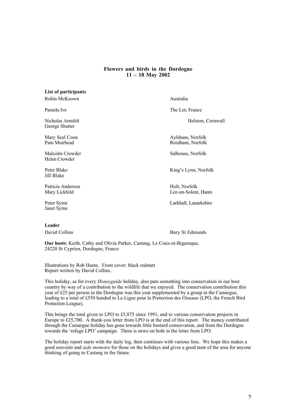# **Flowers and birds in the Dordogne 11 – 18 May 2002**

| List of participants               |                                       |
|------------------------------------|---------------------------------------|
| Robin McKeown                      | Australia                             |
| Pamela Ive                         | The Lot, France                       |
| Nicholas Armfelt<br>George Shutter | Helston, Cornwall                     |
| Mary Seal Coon<br>Pam Muirhead     | Aylsham, Norfolk<br>Reedham, Norfolk  |
| Malcolm Crowder<br>Helen Crowder   | Salhouse, Norfolk                     |
| Peter Blake<br>Jill Blake          | King's Lynn, Norfolk                  |
| Patricia Anderson<br>Mary Lickfold | Holt, Norfolk<br>Lee-on-Solent, Hants |
| Peter Syme<br>Janet Syme           | Larkhall, Lanarkshire                 |

## **Leader**

David Collins Bury St Edmunds

**Our hosts**: Keith, Cathy and Olivia Parker, Castang, Le Coux-et-Bigaroque, 24220 St Cyprien, Dordogne, France

Illustrations by Rob Hume. Front cover: black redstart Report written by David Collins.

This holiday, as for every *Honeyguide* holiday, also puts something into conservation in our host country by way of a contribution to the wildlife that we enjoyed. The conservation contribution this year of £25 per person in the Dordogne was this year supplemented by a group in the Camargue, leading to a total of £550 handed to La Ligue pour la Protection des Oiseaux (LPO, the French Bird Protection League).

This brings the total given to LPO to £5,875 since 1991, and to various conservation projects in Europe to £25,700. A thank-you letter from LPO is at the end of this report. The money contributed through the Camargue holiday has gone towards little bustard conservation, and from the Dordogne towards the 'refuge LPO' campaign. There is news on both in the letter from LPO.

The holiday report starts with the daily log, then continues with various lists. We hope this makes a good souvenir and *aide memoire* for those on the holidays and gives a good taste of the area for anyone thinking of going to Castang in the future.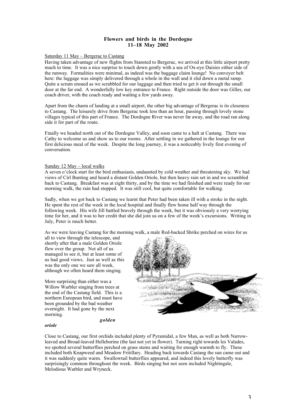# **Flowers and birds in the Dordogne 11–18 May 2002**

## Saturday 11 May – Bergerac to Castang

Having taken advantage of new flights from Stansted to Bergerac, we arrived at this little airport pretty much to time. It was a nice surprise to touch down gently with a sea of Ox-eye Daisies either side of the runway. Formalities were minimal, as indeed was the baggage claim lounge! No conveyer belt here: the luggage was simply delivered through a whole in the wall and it slid down a metal ramp. Quite a scrum ensued as we scrabbled for our luggage and then tried to get it out through the small door at the far end. A wonderfully low key entrance to France. Right outside the door was Gilles, our coach driver, with the coach ready and waiting a few yards away.

Apart from the charm of landing at a small airport, the other big advantage of Bergerac is its closeness to Castang. The leisurely drive from Bergerac took less than an hour, passing through lovely stone villages typical of this part of France. The Dordogne River was never far away, and the road ran along side it for part of the route.

Finally we headed north out of the Dordogne Valley, and soon came to a halt at Castang. There was Cathy to welcome us and show us to our rooms. After settling in we gathered in the lounge for our first delicious meal of the week. Despite the long journey, it was a noticeably lively first evening of conversation.

## Sunday 12 May – local walks

A seven o'clock start for the bird enthusiasts, undaunted by cold weather and threatening sky. We had views of Cirl Bunting and heard a distant Golden Oriole, but then heavy rain set in and we scrambled back to Castang. Breakfast was at eight thirty, and by the time we had finished and were ready for our morning walk, the rain had stopped. It was still cool, but quite comfortable for walking.

Sadly, when we got back to Castang we learnt that Peter had been taken ill with a stroke in the night. He spent the rest of the week in the local hospital and finally flew home half way through the following week. His wife Jill battled bravely through the week, but it was obviously a very worrying time for her, and it was to her credit that she did join us on a few of the week's excursions. Writing in July, Peter is much better.

As we were leaving Castang for the morning walk, a male Red-backed Shrike perched on wires for us

all to view through the telescope, and shortly after that a male Golden Oriole flew over the group. Not all of us managed to see it, but at least some of us had good views. Just as well as this was the only one we saw all week, although we often heard them singing.

More surprising than either was a Willow Warbler singing from trees at the end of the Castang field. This is a northern European bird, and must have been grounded by the bad weather overnight. It had gone by the next morning.



*golden*

#### *oriole*

Close to Castang, our first orchids included plenty of Pyramidal, a few Man, as well as both Narrowleaved and Broad-leaved Helleborine (the last not yet in flower). Turning right towards les Valades, we spotted several butterflies perched on grass stems and waiting for enough warmth to fly. These included both Knapweed and Meadow Fritillary. Heading back towards Castang the sun came out and it was suddenly quite warm. Swallowtail butterflies appeared, and indeed this lovely butterfly was surprisingly common throughout the week. Birds singing but not seen included Nightingale, Melodious Warbler and Wryneck.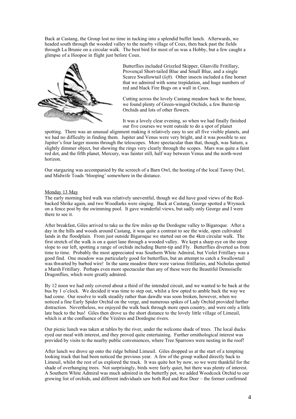Back at Castang, the Group lost no time in tucking into a splendid buffet lunch. Afterwards, we headed south through the wooded valley to the nearby village of Coux, then back past the fields through La Brunie on a circular walk. The best bird for most of us was a Hobby, but a few caught a glimpse of a Hoopoe in flight just before Coux.



Butterflies included Grizzled Skipper, Glanville Fritillary, Provençal Short-tailed Blue and Small Blue, and a single Scarce Swallowtail (*left*). Other insects included a fine hornet that we admired with some trepidation, and huge numbers of red and black Fire Bugs on a wall in Coux.

Cutting across the lovely Castang meadow back to the house, we found plenty of Green-winged Orchids, a few Burnt-tip Orchids and lots of other flowers.

It was a lovely clear evening, so when we had finally finished our five courses we went outside to do a spot of planet

spotting. There was an unusual alignment making it relatively easy to see all five visible planets, and we had no difficulty in finding them. Jupiter and Venus were very bright, and it was possible to see Jupiter's four larger moons through the telescopes. More spectacular than that, though, was Saturn, a slightly dimmer object, but showing the rings very clearly through the scopes. Mars was quite a faint red dot, and the fifth planet, Mercury, was fainter still, half way between Venus and the north-west horizon.

Our stargazing was accompanied by the screech of a Barn Owl, the hooting of the local Tawny Owl, and Midwife Toads 'blooping' somewhere in the distance.

## Monday 13 May

The early morning bird walk was relatively uneventful, though we did have good views of the Redbacked Shrike again, and two Woodlarks were singing. Back at Castang, George spotted a Wryneck on a fence post by the swimming pool. It gave wonderful views, but sadly only George and I were there to see it.

After breakfast, Giles arrived to take us the few miles up the Dordogne valley to Bigaroque. After a day in the hills and woods around Castang, it was quite a contrast to see the wide, open cultivated lands in the floodplain. From just outside Bigaroque we started out on the 4km circular walk. The first stretch of the walk is on a quiet lane through a wooded valley. We kept a sharp eye on the steep slope to our left, spotting a range of orchids including Burnt-tip and Fly. Butterflies diverted us from time to time. Probably the most appreciated was Southern White Admiral, but Violet Fritillary was a good find. One meadow was particularly good for butterflies, but an attempt to catch a Swallowtail was thwarted by barbed wire! In the same meadow there were various fritillaries, and Nicholas spotted a Marsh Fritillary. Perhaps even more spectacular than any of these were the Beautiful Demoiselle Dragonflies, which were greatly admired.

By 12 noon we had only covered about a third of the intended circuit, and we wanted to be back at the bus by 1 o'clock. We decided it was time to step out, whilst a few opted to amble back the way we had come. Our resolve to walk steadily rather than dawdle was soon broken, however, when we noticed a fine Early Spider Orchid on the verge, and numerous spikes of Lady Orchid provided further distraction. Nevertheless, we enjoyed the walk back through more open country, and were only a little late back to the bus! Giles then drove us the short distance to the lovely little village of Limeuil, which is at the confluence of the Vézères and Dordogne rivers.

Our picnic lunch was taken at tables by the river, under the welcome shade of trees. The local ducks eyed our meal with interest, and they proved quite entertaining. Further ornithological interest was provided by visits to the nearby public conveniences, where Tree Sparrows were nesting in the roof!

After lunch we drove up onto the ridge behind Limeuil. Giles dropped us at the start of a tempting looking track that had been noticed the previous year. A few of the group walked directly back to Limeuil, whilst the rest of us explored the track. It was quite hot by now, so we were thankful for the shade of overhanging trees. Not surprisingly, birds were fairly quiet, but there was plenty of interest. A Southern White Admiral was much admired in the butterfly pot, we added Woodcock Orchid to our growing list of orchids, and different individuals saw both Red and Roe Deer – the former confirmed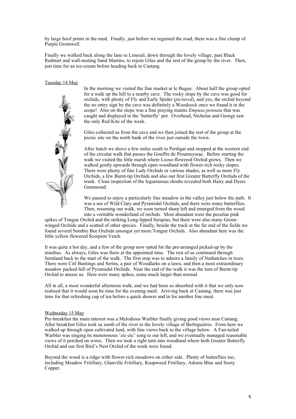by large hoof prints in the mud. Finally, just before we regained the road, there was a fine clump of Purple Gromwell.

Finally we walked back along the lane to Limeuil, down through the lovely village, past Black Redstart and wall-nesting Sand Martins, to rejoin Giles and the rest of the group by the river. Then, just time for an ice-cream before heading back to Castang.

Tuesday 14 May



In the morning we visited the fine market at le Bugue. About half the group opted for a walk up the hill to a nearby cave. The rocky slope by the cave was good for orchids, with plenty of Fly and Early Spider (*pictured*), and yes, the orchid beyond the no entry sign by the cave was definitely a Woodcock once we found it in the scope! Also on the slope was a fine praying mantis *Empusa pennata* that was caught and displayed in the 'butterfly' pot. Overhead, Nicholas and George saw the only Red Kite of the week.

Giles collected us from the cave and we then joined the rest of the group at the picnic site on the north bank of the river just outside the town.

After lunch we drove a few miles south to Perdigat and stopped at the western end of the circular walk that passes the Gouffre de Proumeyssac. Before starting the walk we visited the little marsh where Loose-flowered Orchid grows. Then we walked gently upwards through open woodland with flower-rich rocky slopes. There were plenty of fine Lady Orchids or various shades, as well as more Fly Orchids, a few Burnt-tip Orchids and also our first Greater Butterfly Orchids of the week. Close inspection of the leguminous shrubs revealed both Hairy and Dyers Greenweed.

We paused to enjoy a particularly fine meadow in the valley just below the path. It was a sea of Wild Clary and Pyramidal Orchids, and there were many butterflies. Then, resuming our walk, we soon turned sharp left and emerged from the wood into a veritable wonderland of orchids. Most abundant were the peculiar pink

spikes of Tongue Orchid and the striking Long-lipped Serapias, but there were also many Greenwinged Orchids and a scatted of other species. Finally, beside the track at the far end of the fields we found several Sombre Bee Orchids amongst yet more Tongue Orchids. Also abundant here was the little yellow flowered Scorpion Vetch.

It was quite a hot day, and a few of the group now opted for the pre-arranged picked-up by the minibus. As always, Giles was there at the appointed time. The rest of us continued through farmland back to the start of the walk. The first stop was to admire a family of Nuthatches in trees. There were Cirl Buntings and Serins, a pair of Woodlarks on a lawn, and then a most extraordinary meadow packed full of Pyramidal Orchids. Near the end of the walk it was the turn of Burnt-tip Orchid to amaze us. Here were many spikes, some much larger than normal.

All in all, a most wonderful afternoon walk, and we had been so absorbed with it that we only now realised that it would soon be time for the evening meal. Arriving back at Castang, there was just time for that refreshing cup of tea before a quick shower and in for another fine meal.

#### Wednesday 15 May

Pre-breakfast the main interest was a Melodious Warbler finally giving good views near Castang. After breakfast Giles took us south of the river to the lovely village of Berbiguières. From here we walked up through open cultivated land, with fine views back to the village below. A Fan-tailed Warbler was singing its monotonous 'zic-zic' song to our left, and we eventually managed reasonable views of it perched on wires. Then we took a right turn into woodland where both Greater Butterfly Orchid and our first Bird's Nest Orchid of the week were found.

Beyond the wood is a ridge with flower-rich meadows on either side. Plenty of butterflies too, including Meadow Fritillary, Glanville Fritillary, Knapweed Fritillary, Adonis Blue and Sooty Copper.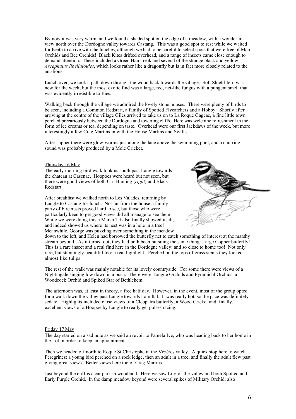By now it was very warm, and we found a shaded spot on the edge of a meadow, with a wonderful view north over the Dordogne valley towards Castang. This was a good spot to rest while we waited for Keith to arrive with the lunches, although we had to be careful to select spots that were free of Man Orchids and Bee Orchids! Black Kites drifted overhead, and a range of insects came close enough to demand attention. These included a Green Hairstreak and several of the strange black and yellow *Ascaphalus libelluloides*, which looks rather like a dragonfly but is in fact more closely related to the ant-lions.

Lunch over, we took a path down through the wood back towards the village. Soft Shield-fern was new for the week, but the most exotic find was a large, red, net-like fungus with a pungent smell that was evidently irresistible to flies.

Walking back through the village we admired the lovely stone houses. There were plenty of birds to be seen, including a Common Redstart, a family of Spotted Flycatchers and a Hobby. Shortly after arriving at the centre of the village Giles arrived to take us on to La Roque Gageac, a fine little town perched precariously between the Dordogne and towering cliffs. Here was welcome refreshment in the form of ice creams or tea, depending on taste. Overhead were our first Jackdaws of the week, but more interestingly a few Crag Martins in with the House Martins and Swifts.

After supper there were glow-worms just along the lane above the swimming pool, and a churring sound was probably produced by a Mole Cricket.

#### Thursday 16 May

The early morning bird walk took us south past Langle towards the chateau at Casenac. Hoopoes were heard but not seen, but there were good views of both Cirl Bunting (*right*) and Black Redstart.

After breakfast we walked north to Les Valades, returning by Langle to Castang for lunch. Not far from the house a family party of Firecrests proved hard to see, but those who were particularly keen to get good views did all manage to see them. While we were doing this a Marsh Tit also finally showed itself, and indeed showed us where its nest was in a hole in a tree! Meanwhile, George was puzzling over something in the meadow



down to the left, and Helen had borrowed the butterfly net to catch something of interest at the marshy stream beyond. As it turned out, they had both been pursuing the same thing: Large Copper butterfly! This is a rare insect and a real find here in the Dordogne valley: and so close to home too! Not only rare, but stunningly beautiful too: a real highlight. Perched on the tops of grass stems they looked almost like tulips.

The rest of the walk was mainly notable for its lovely countryside. For some there were views of a Nightingale singing low down in a bush. There were Tongue Orchids and Pyramidal Orchids, a Woodcock Orchid and Spiked Star of Bethlehem.

The afternoon was, at least in theory, a free half day. However, in the event, most of the group opted for a walk down the valley past Langle towards Lamillal. It was really hot, so the pace was definitely sedate. Highlights included close views of a Cleopatra butterfly, a Wood Cricket and, finally, excellent views of a Hoopoe by Langle to really get pulses racing.

#### Friday 17 May

The day started on a sad note as we said au revoir to Pamela Ive, who was heading back to her home in the Lot in order to keep an appointment.

Then we headed off north to Roque St Christophe in the Vézères valley. A quick stop here to watch Peregrines: a young bird perched on a rock ledge, then an adult in a tree, and finally the adult flew past giving great views. Better views here too of Crag Martins.

Just beyond the cliff is a car park in woodland. Here we saw Lily-of-the-valley and both Spotted and Early Purple Orchid. In the damp meadow beyond were several spikes of Military Orchid; also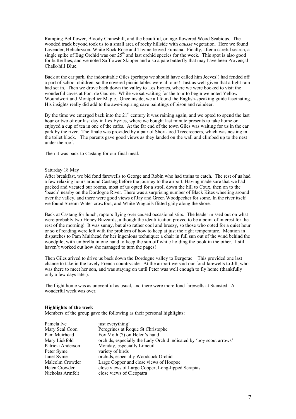Ramping Bellflower, Bloody Cranesbill, and the beautiful, orange-flowered Wood Scabious. The wooded track beyond took us to a small area of rocky hillside with *causse* vegetation. Here we found Lavender, Helichryson, White Rock Rose and Thyme-leaved Fumana. Finally, after a careful search, a single spike of Bug Orchid was our 25<sup>th</sup> and last orchid species for the week. This spot is also good for butterflies, and we noted Safflower Skipper and also a pale butterfly that may have been Provençal Chalk-hill Blue.

Back at the car park, the indomitable Giles (perhaps we should have called him Jeeves!) had fended off a part of school children, so the covered picnic tables were all ours! Just as well given that a light rain had set in. Then we drove back down the valley to Les Eyzies, where we were booked to visit the wonderful caves at Font de Gaume. While we sat waiting for the tour to begin we noted Yellow Woundwort and Montpellier Maple. Once inside, we all found the English-speaking guide fascinating. His insights really did add to the awe-inspiring cave paintings of bison and reindeer.

By the time we emerged back into the  $21<sup>st</sup>$  century it was raining again, and we opted to spend the last hour or two of our last day in Les Eyzies, where we bought last minute presents to take home or enjoyed a cup of tea in one of the cafes. At the far end of the town Giles was waiting for us in the car park by the river. The finale was provided by a pair of Short-toed Treecreepers, which was nesting in the toilet block. The parents gave good views as they landed on the wall and climbed up to the nest under the roof.

Then it was back to Castang for our final meal.

#### Saturday 18 May

After breakfast, we bid fond farewells to George and Robin who had trains to catch. The rest of us had a few relaxing hours around Castang before the journey to the airport. Having made sure that we had packed and vacated our rooms, most of us opted for a stroll down the hill to Coux, then on to the 'beach' nearby on the Dordogne River. There was a surprising number of Black Kites wheeling around over the valley, and there were good views of Jay and Green Woodpecker for some. In the river itself we found Stream Water-crowfoot, and White Wagtails flitted gaily along the shore.

Back at Castang for lunch, raptors flying over caused occasional stirs. The leader missed out on what were probably two Honey Buzzards, although the identification proved to be a point of interest for the rest of the morning! It was sunny, but also rather cool and breezy, so those who opted for a quiet hour or so of reading were left with the problem of how to keep at just the right temperature. Mention in dispatches to Pam Muirhead for her ingenious technique: a chair in full sun out of the wind behind the woodpile, with umbrella in one hand to keep the sun off while holding the book in the other. I still haven't worked out how she managed to turn the pages!

Then Giles arived to drive us back down the Dordogne valley to Bergerac. This provided one last chance to take in the lovely French countryside. At the airport we said our fond farewells to Jill, who was there to meet her son, and was staying on until Peter was well enough to fly home (thankfully only a few days later).

The flight home was as uneventful as usual, and there were more fond farewells at Stansted. A wonderful week was over.

## **Highlights of the week**

Members of the group gave the following as their personal highlights:

| Pamela Ive        | just everything!                                                    |
|-------------------|---------------------------------------------------------------------|
| Mary Seal Coon    | Peregrines at Roque St Christophe                                   |
| Pam Muirhead      | Fox Moth (?) on Helen's hand                                        |
| Mary Lickfold     | orchids, especially the Lady Orchid indicated by 'boy scout arrows' |
| Patricia Anderson | Monday, especially Limeuil                                          |
| Peter Syme        | variety of birds                                                    |
| Janet Syme        | orchids, especially Woodcock Orchid                                 |
| Malcolm Crowder   | Large Copper and close views of Hoopoe                              |
| Helen Crowder     | close views of Large Copper; Long-lipped Serapias                   |
| Nicholas Armfelt  | close views of Cleopatra                                            |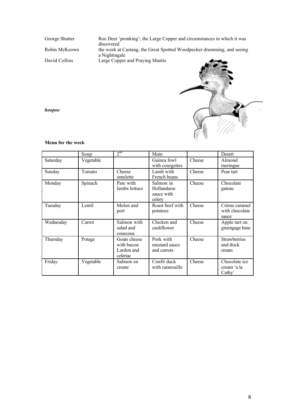George Shutter Roe Deer 'pronking'; the Large Copper and circumstances in which it was discovered Robin McKeown the week at Castang, the Great Spotted Woodpecker drumming, and seeing a Nightingale David Collins Large Copper and Praying Mantis



*hoopoe*

# **Menu for the week**

|           | Soup      | 2 <sup>nd</sup>                                      | Main                                             |        | Desert                                    |
|-----------|-----------|------------------------------------------------------|--------------------------------------------------|--------|-------------------------------------------|
| Saturday  | Vegetable |                                                      | Guinea fowl<br>with courgettes                   | Cheese | Almond<br>meringue                        |
| Sunday    | Tomato    | Cheese<br>omelette                                   | Lamb with<br>French beans                        | Cheese | Pear tart                                 |
| Monday    | Spinach   | Pate with<br>lambs lettuce                           | Salmon in<br>Hollandaise<br>sauce with<br>celery | Cheese | Chocolate<br>gateau                       |
| Tuesday   | Lentil    | Melon and<br>port                                    | Roast beef with<br>potatoes                      | Cheese | Crème caramel<br>with chocolate<br>sauce  |
| Wednesday | Carrot    | Salmon with<br>salad and<br>couscous                 | Chicken and<br>cauliflower                       | Cheese | Apple tart on<br>greengage base           |
| Thursday  | Potage    | Goats cheese<br>with bacon<br>Lardon and<br>celeriac | Pork with<br>mustard sauce<br>and carrots        | Cheese | <b>Strawberries</b><br>and thick<br>cream |
| Friday    | Vegetable | Salmon en<br>croute                                  | Confit duck<br>with ratatouille                  | Cheese | Chocolate ice<br>cream 'a la<br>Cathy'    |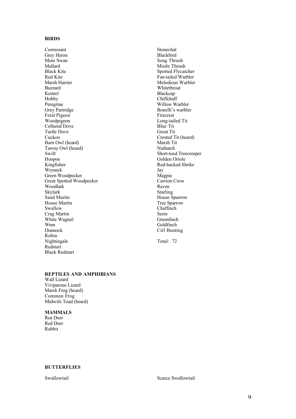# **BIRDS**

Cormorant Grey Heron Mute Swan Mallard Black Kite Red Kite Marsh Harrier Buzzard Kestrel Hobby Peregrine Grey Partridge Feral Pigeon Woodpigeon Collared Dove Turtle Dove Cuckoo Barn Owl (heard) Tawny Owl (heard) Swift Hoopoe Kingfisher Wryneck Green Woodpecker Great Spotted Woodpecker Woodlark Skylark Sand Martin House Martin Swallow Crag Martin White Wagtail Wren Dunnock Robin Nightingale Redstart Black Redstart

Stonechat Blackbird Song Thrush Mistle Thrush Spotted Flycatcher Fan-tailed Warbler Melodious Warbler Whitethroat Blackcap Chiffchaff Willow Warbler Bonelli's warbler Firecrest Long-tailed Tit Blue Tit Great Tit Crested Tit (heard) Marsh Tit Nuthatch Short-toed Treecreeper Golden Oriole Red-backed Shrike Jay Magpie Carrion Crow Raven Starling House Sparrow Tree Sparrow Chaffinch Serin Greenfinch Goldfinch Cirl Bunting

Total: 72

# **REPTILES AND AMPHIBIANS**

Wall Lizard Viviparous Lizard Marsh Frog (heard) Common Frog Midwife Toad (heard)

# **MAMMALS**

Roe Deer Red Deer Rabbit

## **BUTTERFLIES**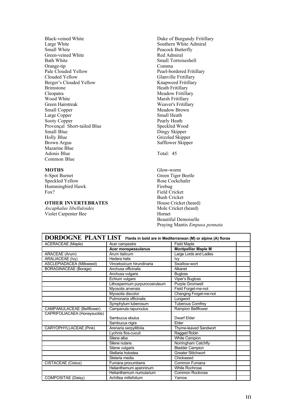Black-veined White Large White Small White Green-veined White Bath White Orange-tip Pale Clouded Yellow Clouded Yellow Berger's Clouded Yellow Brimstone Cleopatra Wood White Green Hairstreak Small Copper Large Copper Sooty Copper Provençal Short-tailed Blue Small Blue Holly Blue Brown Argus Mazarine Blue Adonis Blue Common Blue

## **MOTHS**

6-Spot Burnet Speckled Yellow Hummingbird Hawk Fox?

# **OTHER INVERTEBRATES**

*Ascaphalus libelluloides* Violet Carpenter Bee

Duke of Burgundy Fritillary Southern White Admiral Peacock Butterfly Red Admiral Small Tortoiseshell Comma Pearl-bordered Fritillary Glanville Fritillary Knapweed Fritillary Heath Fritillary Meadow Fritillary Marsh Fritillary Weaver's Fritillary Meadow Brown Small Heath Pearly Heath Speckled Wood Dingy Skipper Grizzled Skipper Safflower Skipper

Total: 45

Glow-worm Green Tiger Beetle Rose Cockchafer Firebug Field Cricket Bush Cricket House Cricket (heard) Mole Cricket (heard) Hornet Beautiful Demoiselle Praying Mantis *Empusa pennata*

| DORDOGNE PLANT LIST Plants in bold are in Mediterranean (M) or alpine (A) floras |                               |                            |  |  |
|----------------------------------------------------------------------------------|-------------------------------|----------------------------|--|--|
| <b>ACERACEAE</b> (Maple)                                                         | Acer campestre                | <b>Field Maple</b>         |  |  |
|                                                                                  | Acer monspessulanus           | <b>Montpellier Maple M</b> |  |  |
| <b>ARACEAE</b> (Arum)                                                            | Arum italicum                 | Large Lords and Ladies     |  |  |
| ARALIACEAE (Ivy)                                                                 | Hedera helix                  | Ivy                        |  |  |
| ASCLEPIADACEA (Milkweed)                                                         | Vincetoxicum hirundinaria     | Swallow-wort               |  |  |
| <b>BORAGINACEAE</b> (Borage)                                                     | Anchusa officinalis           | Alkanet                    |  |  |
|                                                                                  | Anchusa vulgaris              | <b>Bugloss</b>             |  |  |
|                                                                                  | Echium vulgare                | Viper's Bugloss            |  |  |
|                                                                                  | Lithospermum purpurocoeruleum | <b>Purple Gromwell</b>     |  |  |
|                                                                                  | Myosotis arvensis             | Field Forget-me-not        |  |  |
|                                                                                  | Myosotis discolor             | Changing Forget-me-not     |  |  |
|                                                                                  | Pulmonaria officinalis        | Lungwort                   |  |  |
|                                                                                  | Symphytum tuberosum           | <b>Tuberous Comfrey</b>    |  |  |
| <b>CAMPANULACEAE</b> (Bellflower)                                                | Campanula rapunculus          | Rampion Bellflower         |  |  |
| CAPRIFOLIACAEA (Honeysuckle)                                                     |                               |                            |  |  |
|                                                                                  | Sambucus ebulus               | Dwarf Elder                |  |  |
|                                                                                  | Sambucus nigra                | Flder                      |  |  |
| <b>CARYOPHYLLACEAE (Pink)</b>                                                    | Arenaria serpyllifolia        | Thyme-leaved Sandwort      |  |  |
|                                                                                  | Lychnis flos-cuculi           | Ragged Robin               |  |  |
|                                                                                  | Silene alba                   | White Campion              |  |  |
|                                                                                  | Silene nutans                 | Norringham Catchfly        |  |  |
|                                                                                  | Silene vulgaris               | <b>Bladder Campion</b>     |  |  |
|                                                                                  | Stellaria holostea            | <b>Greater Stitchwort</b>  |  |  |
|                                                                                  | Stelaria media                | Chickweed                  |  |  |
| <b>CISTACEAE</b> (Cistus)                                                        | Fumana procumbens             | Common Fumana              |  |  |
|                                                                                  | Helianthemum apenninum        | White Rochrose             |  |  |
|                                                                                  | Helianthemum numularium       | <b>Common Rockrose</b>     |  |  |
| COMPOSITAE (Daisy)                                                               | Achillea millefolium          | Yarrow                     |  |  |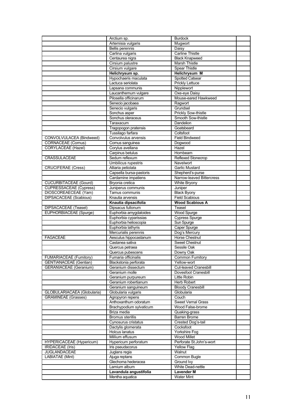|                               | Arctium sp.                                     | <b>Burdock</b>                                |  |
|-------------------------------|-------------------------------------------------|-----------------------------------------------|--|
|                               | Artemisia vulgaris                              | Mugwort                                       |  |
|                               | Bellis perennis                                 | Daisy                                         |  |
|                               | Carlina vulgaris                                | <b>Carline Thistle</b>                        |  |
|                               | Centaurea nigra                                 | <b>Black Knapweed</b>                         |  |
|                               | Cirsium palustre                                | Marsh Thistle                                 |  |
|                               | Cirsium vulgare                                 | <b>Spear Thistle</b>                          |  |
|                               | Helichrysum sp.                                 | <b>Helichrysum M</b>                          |  |
|                               | Hypochaeris maculata<br>Lactuca seriolata       | Spotted Catsear                               |  |
|                               | Lapsana communis                                | <b>Prickly Lettuce</b><br>Nipplewort          |  |
|                               | Laucanthemum vulgare                            | Oxe-eye Daisy                                 |  |
|                               | Pilosella officinarum                           | Mouse-eared Hawkweed                          |  |
|                               | Senecio jacobaea                                | Ragwort                                       |  |
|                               | Senecio vulgaris                                | Grundsel                                      |  |
|                               | Sonchus asper                                   | <b>Prickly Sow-thistle</b>                    |  |
|                               | Sonchus oleraceus                               | Smooth Sow-thistle                            |  |
|                               | Taraxacum                                       | Dandelion                                     |  |
|                               | Tragopogon pratensis                            | Goatsbeard                                    |  |
|                               | Tussilago farfara                               | Coltsfoot                                     |  |
| CONVOLVULACEA (Bindweed)      | Convolvulus arvensis                            | <b>Field Bindweed</b>                         |  |
| <b>CORNACEAE</b> (Cornus)     | Cornus sanguinea                                | Dogwood                                       |  |
| <b>CORYLACEAE</b> (Hazel)     | Corylus avellana                                | Hazel                                         |  |
|                               | Carpinus betulus                                | Hornbeam                                      |  |
| CRASSULACEAE                  | Sedum reflexum                                  | Reflexed Stonecrop                            |  |
|                               | <b>Umbilicus rupestris</b>                      | Navelwort                                     |  |
| <b>CRUCIFERAE (Cress)</b>     | Alliaria petiolata                              | Garlic Mustard                                |  |
|                               | Capsella bursa-pastoris                         | Shepherd's-purse<br>Narrow-leaved Bittercress |  |
| <b>CUCURBITACEAE (Gourd)</b>  | Cardamine impatiens<br>Bryonia cretica          | White Bryony                                  |  |
| CUPRESSACEAE (Cypress)        | Juniperus communis                              | Juniper                                       |  |
| DIOSCOREAECEAE (Yam)          | Tamus communis                                  | <b>Black Byony</b>                            |  |
| DIPSACACEAE (Scabious)        | Knautia arvensis                                | <b>Field Scabious</b>                         |  |
|                               | Knautia dipsacifolia                            | <b>Wood Scabious A</b>                        |  |
|                               |                                                 |                                               |  |
|                               |                                                 | Teasel                                        |  |
| DIPSACACEAE (Teasel)          | Dipsacus fullonum                               |                                               |  |
| EUPHORBIACEAE (Spurge)        | Euphorbia amygdaloides<br>Euphorbia cyparissias | Wood Spurge<br><b>Cypress Spurge</b>          |  |
|                               | Euphorbia helioscopia                           | Sun Spurge                                    |  |
|                               | Euphorbia lathyris                              | Caper Spurge                                  |  |
|                               | Mercurialis perennis                            | Dog's Mercury                                 |  |
| <b>FAGACEAE</b>               | Aesculus hippocastanum                          | <b>Horse Chestnut</b>                         |  |
|                               | Castanea sativa                                 | <b>Sweet Chestnut</b>                         |  |
|                               | Quercus petraea                                 | Sessile Oak                                   |  |
|                               | Quercus pubescens                               | Downy Oak                                     |  |
| FUMARIACEAE (Fumitory)        | Fumaria officinalis                             | Common Fumitory                               |  |
| <b>GENTIANACEAE</b> (Gentian) | Blackstonia perforata                           | Yellow-wort                                   |  |
| <b>GERANIACEAE</b> (Geranium) | Geranium dissectum                              | Cut-leaved Cranesbill                         |  |
|                               | Geranium molle                                  | Dovesfoot Cranesbill                          |  |
|                               | Geranium purpureum                              | Little Robin                                  |  |
|                               | Geranium robertianum<br>Geranium sanguineum     | Herb Robert                                   |  |
| GLOBULARIACAEA (Globularia)   | Globularia vulgaris                             | <b>Bloody Cranesbill</b><br>Globularia        |  |
| <b>GRAMINEAE</b> (Grasses)    | Agropyron repens                                | Couch                                         |  |
|                               | Anthoxanthum odoratum                           | <b>Sweet Vernal Grass</b>                     |  |
|                               | Brachypodium sylvaticum                         | Wood False-brome                              |  |
|                               | Briza media                                     | Quaking-grass                                 |  |
|                               | <b>Bromus sterillis</b>                         | Barren Brome                                  |  |
|                               | Cynosurus cristatus                             | Crested Dog's-tail                            |  |
|                               | Dactylis glomerata                              | Cocksfoot                                     |  |
|                               | Holcus lanatus                                  | Yorkshire Fog                                 |  |
|                               | Millium effusum                                 | <b>Wood Millet</b>                            |  |
| HYPERICACEAE (Hypericum)      | Hypericum perforatum                            | Perforate St.John's-wort                      |  |
| <b>IRIDACEAE</b> (Iris)       | Iris pseudacorus                                | <b>Yellow Flag</b>                            |  |
| JUGLANDACEAE                  | Juglans regia                                   | Walnut                                        |  |
| <b>LABIATAE (Mint)</b>        | Ajuga reptans                                   | Common Bugle                                  |  |
|                               | Glechoma hederacea<br>Lamium album              | Ground Ivy<br>White Dead-nettle               |  |
|                               | Lavandula angustifolia                          | <b>Lavender M</b>                             |  |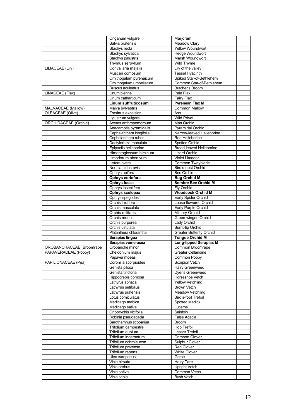|                             | Origanum vulgare                    | Marjoram                                     |  |
|-----------------------------|-------------------------------------|----------------------------------------------|--|
|                             | Salvia pratensis                    | <b>Meadow Clary</b>                          |  |
|                             | Stachys recta                       | <b>Yellow Woundwort</b>                      |  |
|                             | Stachys sylvatica                   | <b>Hedge Woundwort</b>                       |  |
|                             | Stachys palustris                   | Marsh Woundwort                              |  |
|                             | Thymus serpyllum                    | Wild Thyme                                   |  |
| <b>LILIACEAE (Lily)</b>     | Convallaria majalis                 | Lily of the valley                           |  |
|                             | Muscari comosum                     | <b>Tassel Hyacinth</b>                       |  |
|                             | Ornithogalum pyrenaicum             | Spiked Star-of-Bethlehem                     |  |
|                             | Ornithogalum umbellatum             | Common Star-of-Bethlehem                     |  |
|                             | Ruscus aculeatus                    | Butcher's Broom                              |  |
| LINACEAE (Flax)             | Linum bienne                        | Pale Flax                                    |  |
|                             | Linum catharticum                   | <b>Fairy Flax</b>                            |  |
|                             | Linum suffruticosum                 | <b>Pyrenean Flax M</b>                       |  |
| MALVACEAE (Mallow)          | Malva sylvestris                    | <b>Common Mallow</b>                         |  |
| OLEACEAE (Olive)            | Fraxinus excelsior                  | Ash                                          |  |
|                             | Ligustrum vulgare                   | <b>Wild Privet</b>                           |  |
| <b>ORCHIDACEAE</b> (Orchid) | Aceras anthropomorhum               | Man Orchid                                   |  |
|                             | Anacamptis pyramidalis              | <b>Pyramidal Orchid</b>                      |  |
|                             | Cephalanthera longifolia            | Narrow-leaved Helleborine                    |  |
|                             | Cephalanthera ruber                 | Red Helleborine                              |  |
|                             | Dactylorhiza maculata               | Spotted Orchid                               |  |
|                             | Epipactis helleborine               | <b>Broad-leaved Helleborine</b>              |  |
|                             | Himantoglossum hircinum             | <b>Lizard Orchid</b>                         |  |
|                             | Limodorum abortivum                 | <b>Violet Limador</b>                        |  |
|                             | Listera ovata                       | Common Twayblade                             |  |
|                             | Neottia nidus-avis                  | Bird's-nest Orchid                           |  |
|                             | Ophrys apifera                      | Bee Orchid                                   |  |
|                             | Ophrys coriofora                    | <b>Bug Orchid M</b>                          |  |
|                             | Ophrys fusca                        | Sombre Bee Orchid M                          |  |
|                             | Ophrys insectifera                  | Fly Orchid                                   |  |
|                             | <b>Ophrys scolopax</b>              | <b>Woodcock Orchid M</b>                     |  |
|                             | Ophrys spegodes<br>Orchis laxiflora | Early Spider Orchid<br>Loose-flowered Orchid |  |
|                             | Orchis masculata                    | Early Purple Orchid                          |  |
|                             | Orchis militaris                    | <b>Military Orchid</b>                       |  |
|                             | Orchis morio                        | Green-winged Orchid                          |  |
|                             | Orchis purpurea                     | Lady Orchid                                  |  |
|                             | Orchis ustulata                     | <b>Burnt-tip Orchid</b>                      |  |
|                             | Platanthera chlorantha              | <b>Greater Butterfly Orchid</b>              |  |
|                             | Serapias lingua                     | <b>Tongue Orchid M</b>                       |  |
|                             | Serapias vomeracea                  | <b>Long-lipped Serapias M</b>                |  |
| OROBANCHACEAE (Broomrape    | Orobanche minor                     | Common Broomrape                             |  |
| PAPAVERACEAE (Poppy)        | Cheldonium majus                    | <b>Greater Cellandine</b>                    |  |
|                             | Papaver rhoeas                      | Common Poppy                                 |  |
| PAPILIONACEAE (Pea)         | Coronilla scorpioides               | Scorpion Vetch                               |  |
|                             | Genista pilosa                      | <b>Hairy Greenweed</b>                       |  |
|                             | Genista tinctoria                   | Dyer's Greenweed                             |  |
|                             | Hippocrepis comosa                  | Horseshoe Vetch                              |  |
|                             | Lathyrus aphaca                     | <b>Yellow Vetchling</b>                      |  |
|                             | Lathyrus setifolius                 | <b>Brown Vetch</b>                           |  |
|                             | Lathyrus pratensis                  | Meadow Vetchling                             |  |
|                             | Lotus corniculatus                  | Bird's-foot Trefoil                          |  |
|                             | Medicago arabica                    | <b>Spotted Medick</b>                        |  |
|                             | Medicago sativa                     | Lucerne                                      |  |
|                             | Onobrychis vicifolia                | Sainfoin                                     |  |
|                             | Robinia pseudacacia                 | False Acacia                                 |  |
|                             | Sarothamnus scopariua               | <b>Broom</b>                                 |  |
|                             | Trifolium campestre                 | <b>Hop Trefoil</b>                           |  |
|                             | Trifolium dubium                    | Lesser Trefoil                               |  |
|                             | Trifolium incarnatum                | <b>Crimson Clover</b>                        |  |
|                             | Trifolium ochroleucon               | <b>Sulphur Clover</b><br>Red Clover          |  |
|                             | Trifolium pratense                  |                                              |  |
|                             | Trifolium repens<br>Ulex europaeus  | <b>White Clover</b><br>Gorse                 |  |
|                             | Vicia hirsuta                       | Hairy Tare                                   |  |
|                             | Vicia orobus                        | <b>Upright Vetch</b>                         |  |
|                             | Vicia sativa                        | Common Vetch                                 |  |
|                             | Vicia sepia                         | <b>Bush Vetch</b>                            |  |
|                             |                                     |                                              |  |